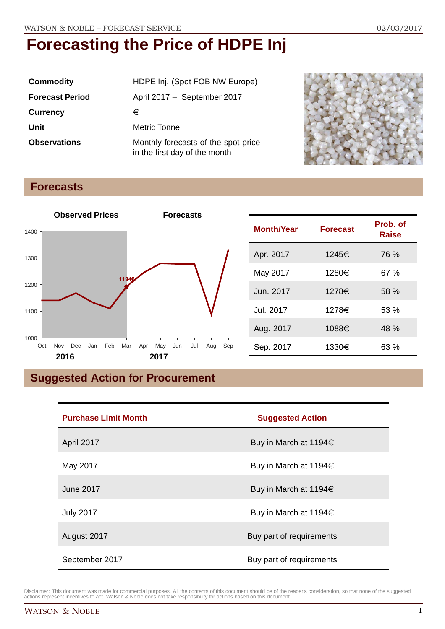| <b>Commodity</b>       | HDPE Inj. (Spot FOB NW Europe)                                       |  |
|------------------------|----------------------------------------------------------------------|--|
| <b>Forecast Period</b> | April 2017 - September 2017                                          |  |
| <b>Currency</b>        | €                                                                    |  |
| Unit                   | Metric Tonne                                                         |  |
| <b>Observations</b>    | Monthly forecasts of the spot price<br>in the first day of the month |  |



# **Forecasts**



| <b>Month/Year</b> | <b>Forecast</b> | Prob. of<br>Raise |
|-------------------|-----------------|-------------------|
| Apr. 2017         | 1245€           | 76 %              |
| May 2017          | 1280€           | 67 %              |
| Jun. 2017         | 1278€           | 58 %              |
| Jul. 2017         | 1278€           | 53 %              |
| Aug. 2017         | 1088€           | 48 %              |
| Sep. 2017         | 1330€           | 63 %              |

# **Suggested Action for Procurement**

| <b>Purchase Limit Month</b> | <b>Suggested Action</b>    |  |
|-----------------------------|----------------------------|--|
| April 2017                  | Buy in March at 1194 $\in$ |  |
| May 2017                    | Buy in March at 1194 $\in$ |  |
| June 2017                   | Buy in March at 1194 $\in$ |  |
| <b>July 2017</b>            | Buy in March at 1194 $\in$ |  |
| August 2017                 | Buy part of requirements   |  |
| September 2017              | Buy part of requirements   |  |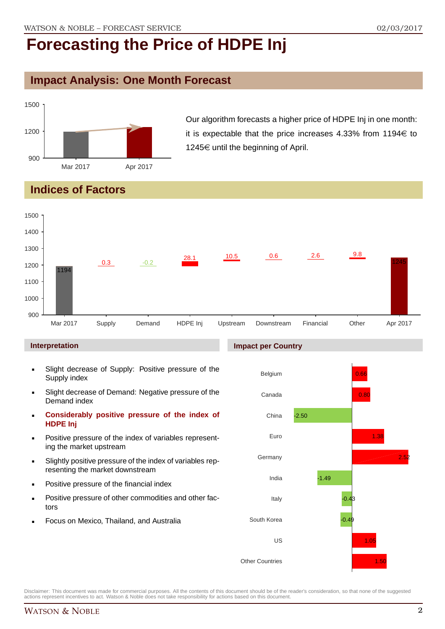### **Impact Analysis: One Month Forecast**



Our algorithm forecasts a higher price of HDPE Inj in one month: it is expectable that the price increases 4.33% from 1194 $\in$  to 1245 $\in$  until the beginning of April.

# **Indices of Factors**



**Impact per Country**

#### **Interpretation**

- Slight decrease of Supply: Positive pressure of the Supply index
- Slight decrease of Demand: Negative pressure of the Demand index
- **Considerably positive pressure of the index of HDPE Inj**
- Positive pressure of the index of variables representing the market upstream
- Slightly positive pressure of the index of variables representing the market downstream
- Positive pressure of the financial index
- Positive pressure of other commodities and other factors
- Focus on Mexico, Thailand, and Australia



Disclaimer: This document was made for commercial purposes. All the contents of this document should be of the reader's consideration, so that none of the suggested actions represent incentives to act. Watson & Noble does not take responsibility for actions based on this document.

# WATSON & NOBLE 2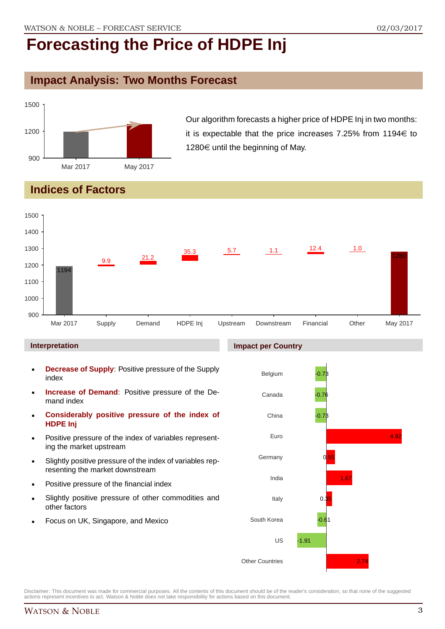# **Impact Analysis: Two Months Forecast**



Our algorithm forecasts a higher price of HDPE Inj in two months: it is expectable that the price increases 7.25% from 1194 $\in$  to 1280 $\in$  until the beginning of May.

# **Indices of Factors**



#### **Interpretation**

- **Decrease of Supply**: Positive pressure of the Supply index
- **Increase of Demand**: Positive pressure of the Demand index
- **Considerably positive pressure of the index of HDPE Inj**
- Positive pressure of the index of variables representing the market upstream
- Slightly positive pressure of the index of variables representing the market downstream
- Positive pressure of the financial index
- Slightly positive pressure of other commodities and other factors
- Focus on UK, Singapore, and Mexico



Disclaimer: This document was made for commercial purposes. All the contents of this document should be of the reader's consideration, so that none of the suggested actions represent incentives to act. Watson & Noble does not take responsibility for actions based on this document.

#### **Impact per Country**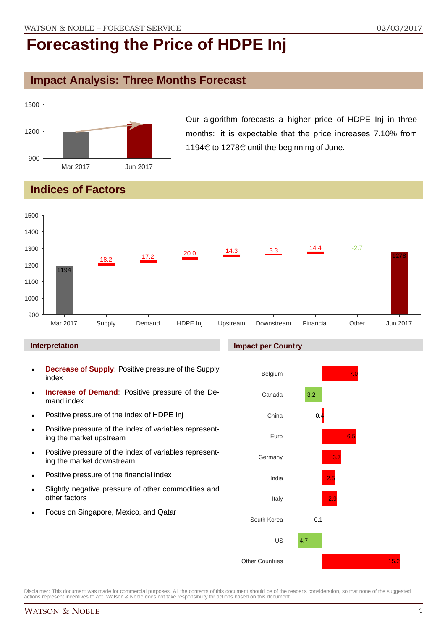## **Impact Analysis: Three Months Forecast**



Our algorithm forecasts a higher price of HDPE Inj in three months: it is expectable that the price increases 7.10% from 1194 $\in$  to 1278 $\in$  until the beginning of June.

# **Indices of Factors**



#### **Interpretation**

- **Decrease of Supply**: Positive pressure of the Supply index
- **Increase of Demand**: Positive pressure of the Demand index
- **-** Positive pressure of the index of HDPE Inj
- **Positive pressure of the index of variables represent**ing the market upstream
- **Positive pressure of the index of variables represent**ing the market downstream
- **•** Positive pressure of the financial index
- Slightly negative pressure of other commodities and other factors
- Focus on Singapore, Mexico, and Qatar



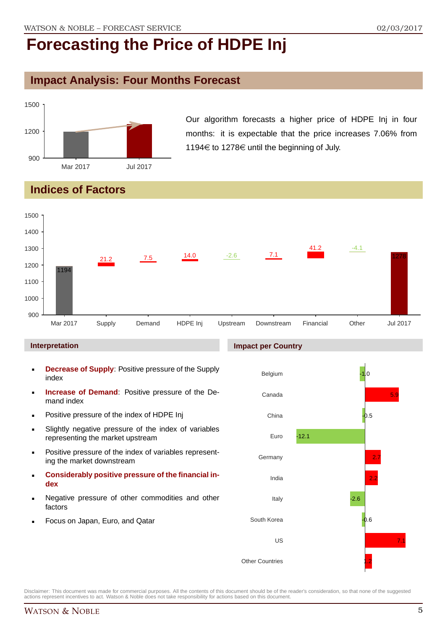# **Impact Analysis: Four Months Forecast**



Our algorithm forecasts a higher price of HDPE Inj in four months: it is expectable that the price increases 7.06% from 1194€ to 1278€ until the beginning of July.

# **Indices of Factors**



#### **Interpretation**

- **Decrease of Supply**: Positive pressure of the Supply index
- **Increase of Demand**: Positive pressure of the Demand index
- **Positive pressure of the index of HDPE Inj**
- Slightly negative pressure of the index of variables representing the market upstream
- **Positive pressure of the index of variables represent**ing the market downstream
- **Considerably positive pressure of the financial index**
- Negative pressure of other commodities and other factors
- Focus on Japan, Euro, and Qatar

#### **Impact per Country**

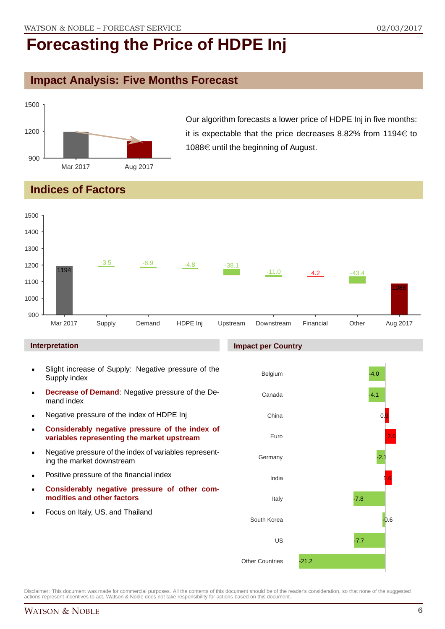# **Impact Analysis: Five Months Forecast**



Our algorithm forecasts a lower price of HDPE Inj in five months: it is expectable that the price decreases 8.82% from  $1194 \in$  to 1088 $\in$  until the beginning of August.

# **Indices of Factors**



- **Considerably negative pressure of other commodities and other factors**
- **Focus on Italy, US, and Thailand**

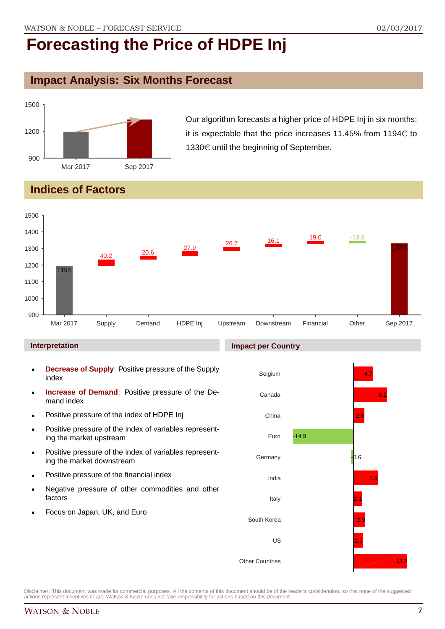# **Impact Analysis: Six Months Forecast**



Our algorithm forecasts a higher price of HDPE Inj in six months: it is expectable that the price increases 11.45% from 1194 $\in$  to  $1330 \in \mathsf{until}$  the beginning of September.

# **Indices of Factors**



#### **Interpretation**

- **Decrease of Supply**: Positive pressure of the Supply index
- **Increase of Demand**: Positive pressure of the Demand index
- **-** Positive pressure of the index of HDPE Inj
- **Positive pressure of the index of variables represent**ing the market upstream
- **Positive pressure of the index of variables represent**ing the market downstream
- **•** Positive pressure of the financial index
- **Negative pressure of other commodities and other** factors
- Focus on Japan, UK, and Euro

#### **Impact per Country**

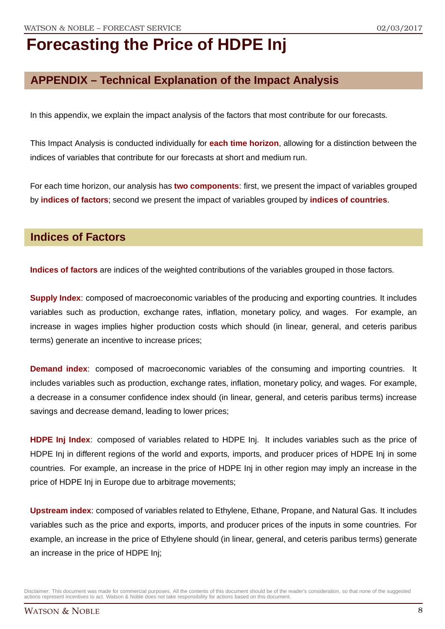# **APPENDIX – Technical Explanation of the Impact Analysis**

In this appendix, we explain the impact analysis of the factors that most contribute for our forecasts.

This Impact Analysis is conducted individually for **each time horizon**, allowing for a distinction between the indices of variables that contribute for our forecasts at short and medium run.

For each time horizon, our analysis has **two components**: first, we present the impact of variables grouped by **indices of factors**; second we present the impact of variables grouped by **indices of countries**.

### **Indices of Factors**

**Indices of factors** are indices of the weighted contributions of the variables grouped in those factors.

**Supply Index**: composed of macroeconomic variables of the producing and exporting countries. It includes variables such as production, exchange rates, inflation, monetary policy, and wages. For example, an increase in wages implies higher production costs which should (in linear, general, and ceteris paribus terms) generate an incentive to increase prices;

**Demand index**: composed of macroeconomic variables of the consuming and importing countries. It includes variables such as production, exchange rates, inflation, monetary policy, and wages. For example, a decrease in a consumer confidence index should (in linear, general, and ceteris paribus terms) increase savings and decrease demand, leading to lower prices;

**HDPE Inj Index**: composed of variables related to HDPE Inj. It includes variables such as the price of HDPE Inj in different regions of the world and exports, imports, and producer prices of HDPE Inj in some countries. For example, an increase in the price of HDPE Inj in other region may imply an increase in the price of HDPE Inj in Europe due to arbitrage movements;

**Upstream index**: composed of variables related to Ethylene, Ethane, Propane, and Natural Gas. It includes variables such as the price and exports, imports, and producer prices of the inputs in some countries. For example, an increase in the price of Ethylene should (in linear, general, and ceteris paribus terms) generate an increase in the price of HDPE Inj;